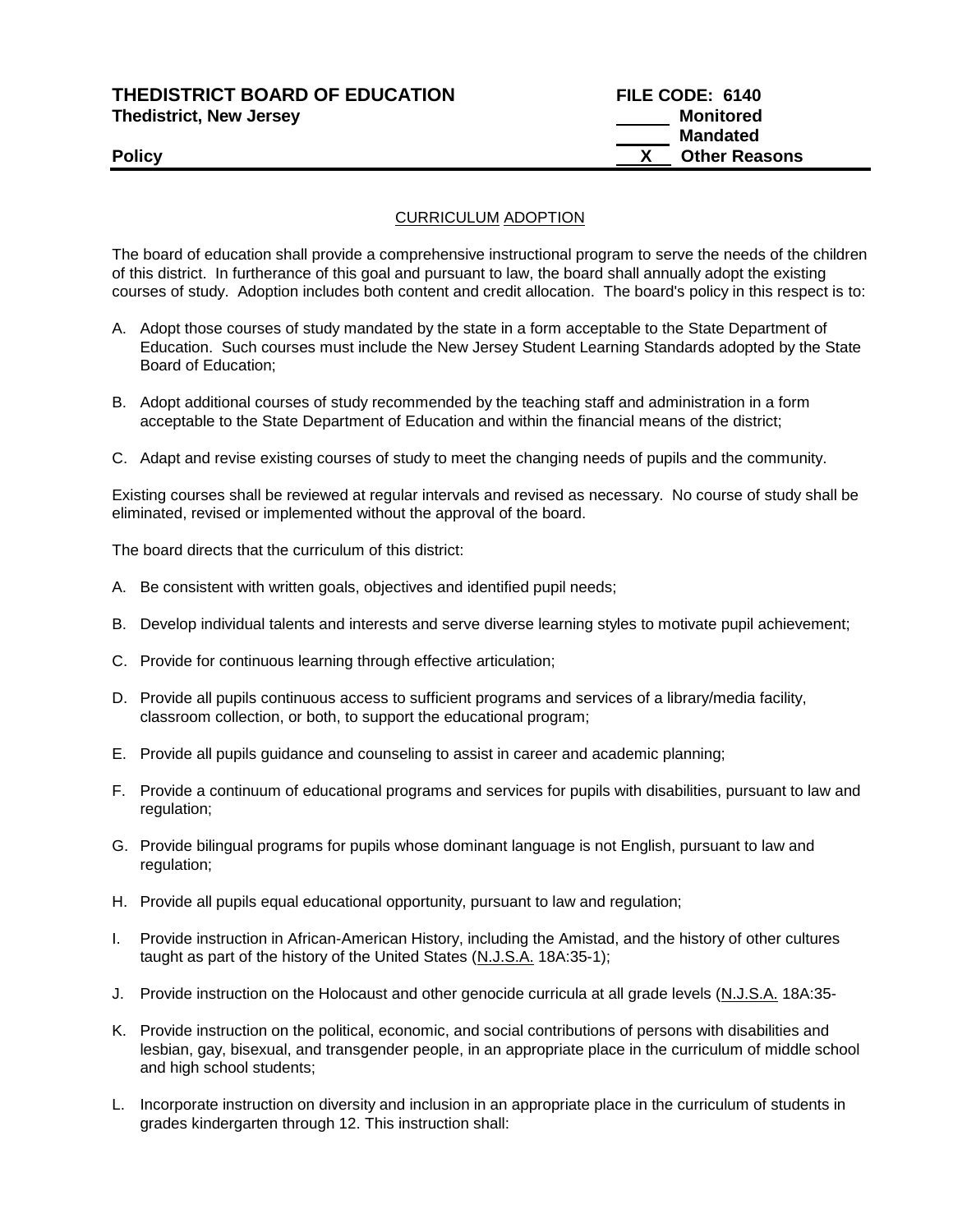### **THEDISTRICT BOARD OF EDUCATION FILE CODE: 6140 Thedistrict, New Jersey Monitored**

# **Mandated Policy X** Other Reasons

### CURRICULUM ADOPTION

The board of education shall provide a comprehensive instructional program to serve the needs of the children of this district. In furtherance of this goal and pursuant to law, the board shall annually adopt the existing courses of study. Adoption includes both content and credit allocation. The board's policy in this respect is to:

- A. Adopt those courses of study mandated by the state in a form acceptable to the State Department of Education. Such courses must include the New Jersey Student Learning Standards adopted by the State Board of Education;
- B. Adopt additional courses of study recommended by the teaching staff and administration in a form acceptable to the State Department of Education and within the financial means of the district;
- C. Adapt and revise existing courses of study to meet the changing needs of pupils and the community.

Existing courses shall be reviewed at regular intervals and revised as necessary. No course of study shall be eliminated, revised or implemented without the approval of the board.

The board directs that the curriculum of this district:

- A. Be consistent with written goals, objectives and identified pupil needs;
- B. Develop individual talents and interests and serve diverse learning styles to motivate pupil achievement;
- C. Provide for continuous learning through effective articulation;
- D. Provide all pupils continuous access to sufficient programs and services of a library/media facility, classroom collection, or both, to support the educational program;
- E. Provide all pupils guidance and counseling to assist in career and academic planning;
- F. Provide a continuum of educational programs and services for pupils with disabilities, pursuant to law and regulation:
- G. Provide bilingual programs for pupils whose dominant language is not English, pursuant to law and regulation;
- H. Provide all pupils equal educational opportunity, pursuant to law and regulation;
- I. Provide instruction in African-American History, including the Amistad, and the history of other cultures taught as part of the history of the United States (N.J.S.A. 18A:35-1);
- J. Provide instruction on the Holocaust and other genocide curricula at all grade levels (N.J.S.A. 18A:35-
- K. Provide instruction on the political, economic, and social contributions of persons with disabilities and lesbian, gay, bisexual, and transgender people, in an appropriate place in the curriculum of middle school and high school students;
- L. Incorporate instruction on diversity and inclusion in an appropriate place in the curriculum of students in grades kindergarten through 12. This instruction shall: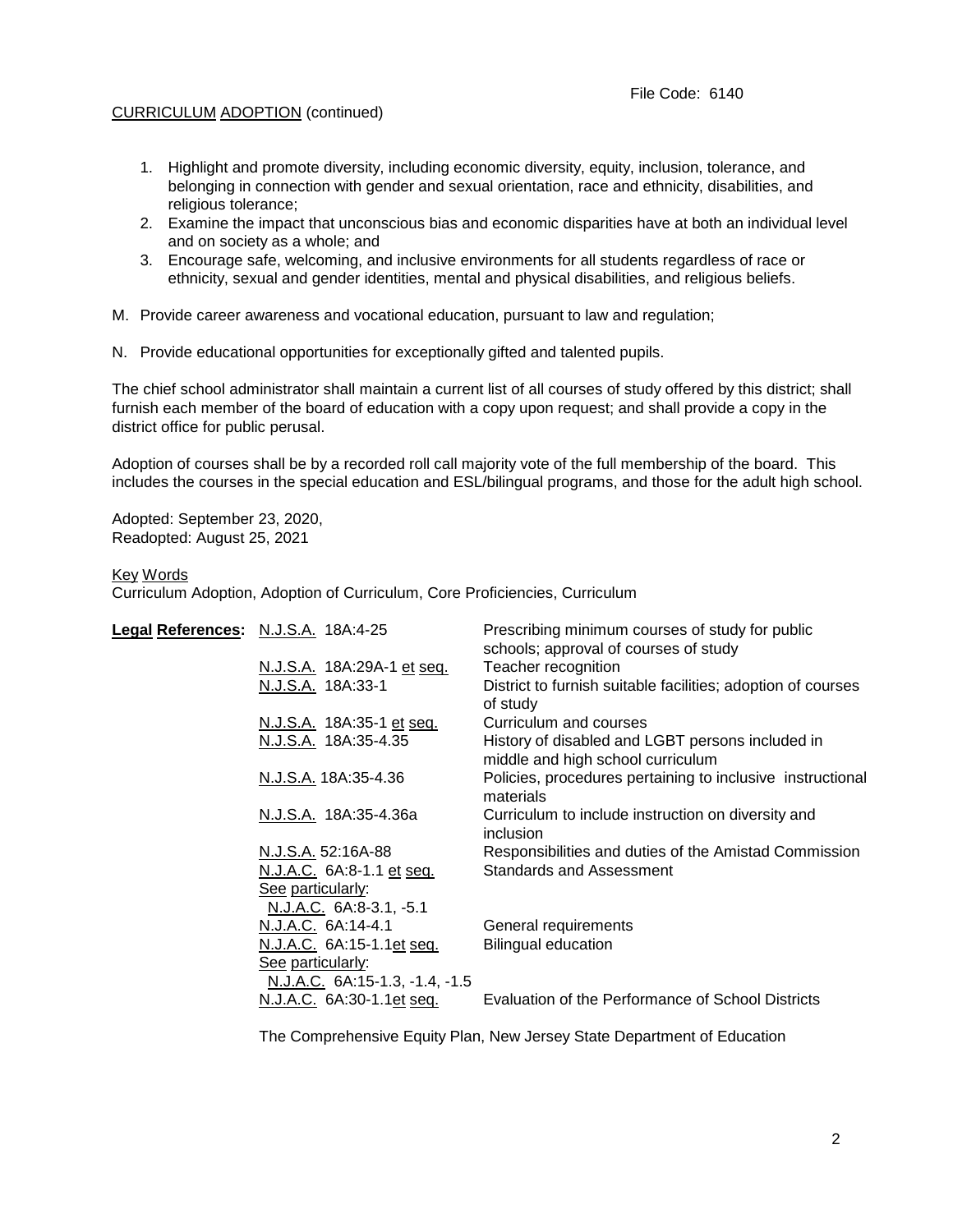#### File Code: 6140

#### CURRICULUM ADOPTION (continued)

- 1. Highlight and promote diversity, including economic diversity, equity, inclusion, tolerance, and belonging in connection with gender and sexual orientation, race and ethnicity, disabilities, and religious tolerance;
- 2. Examine the impact that unconscious bias and economic disparities have at both an individual level and on society as a whole; and
- 3. Encourage safe, welcoming, and inclusive environments for all students regardless of race or ethnicity, sexual and gender identities, mental and physical disabilities, and religious beliefs.
- M. Provide career awareness and vocational education, pursuant to law and regulation;
- N. Provide educational opportunities for exceptionally gifted and talented pupils.

The chief school administrator shall maintain a current list of all courses of study offered by this district; shall furnish each member of the board of education with a copy upon request; and shall provide a copy in the district office for public perusal.

Adoption of courses shall be by a recorded roll call majority vote of the full membership of the board. This includes the courses in the special education and ESL/bilingual programs, and those for the adult high school.

Adopted: September 23, 2020, Readopted: August 25, 2021

#### Key Words

Curriculum Adoption, Adoption of Curriculum, Core Proficiencies, Curriculum

| Legal References: N.J.S.A. 18A:4-25 |                                                             | Prescribing minimum courses of study for public<br>schools; approval of courses of study |
|-------------------------------------|-------------------------------------------------------------|------------------------------------------------------------------------------------------|
|                                     | N.J.S.A. 18A:29A-1 et seq.                                  | Teacher recognition                                                                      |
|                                     | N.J.S.A. 18A:33-1                                           | District to furnish suitable facilities; adoption of courses<br>of study                 |
|                                     | N.J.S.A. 18A:35-1 et seq.                                   | Curriculum and courses                                                                   |
|                                     | N.J.S.A. 18A:35-4.35                                        | History of disabled and LGBT persons included in<br>middle and high school curriculum    |
|                                     | N.J.S.A. 18A:35-4.36                                        | Policies, procedures pertaining to inclusive instructional<br>materials                  |
|                                     | N.J.S.A. 18A:35-4.36a                                       | Curriculum to include instruction on diversity and<br>inclusion                          |
|                                     | N.J.S.A. 52:16A-88                                          | Responsibilities and duties of the Amistad Commission                                    |
|                                     | N.J.A.C. 6A:8-1.1 et seq.                                   | <b>Standards and Assessment</b>                                                          |
|                                     | See particularly:                                           |                                                                                          |
|                                     | N.J.A.C. 6A:8-3.1, -5.1                                     |                                                                                          |
|                                     | N.J.A.C. 6A:14-4.1                                          | General requirements                                                                     |
|                                     | N.J.A.C. 6A:15-1.1et seq.<br>See particularly:              | <b>Bilingual education</b>                                                               |
|                                     | N.J.A.C. 6A:15-1.3, -1.4, -1.5<br>N.J.A.C. 6A:30-1.1et seq. | Evaluation of the Performance of School Districts                                        |
|                                     |                                                             |                                                                                          |

The Comprehensive Equity Plan, New Jersey State Department of Education